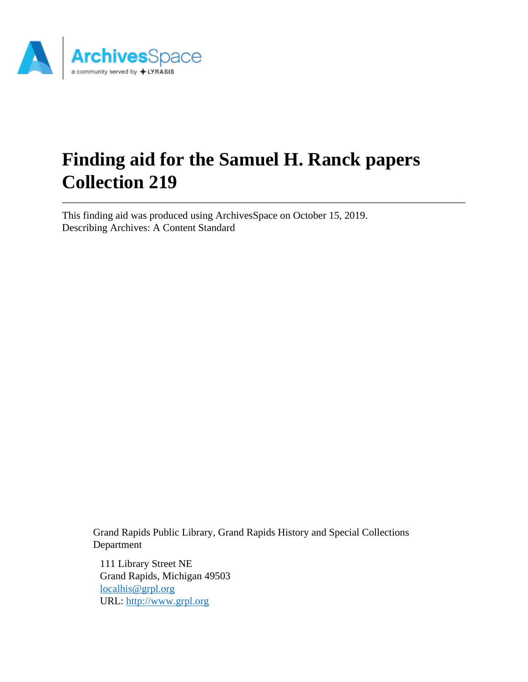

# **Finding aid for the Samuel H. Ranck papers Collection 219**

This finding aid was produced using ArchivesSpace on October 15, 2019. Describing Archives: A Content Standard

> Grand Rapids Public Library, Grand Rapids History and Special Collections Department

111 Library Street NE Grand Rapids, Michigan 49503 [localhis@grpl.org](mailto:localhis@grpl.org) URL:<http://www.grpl.org>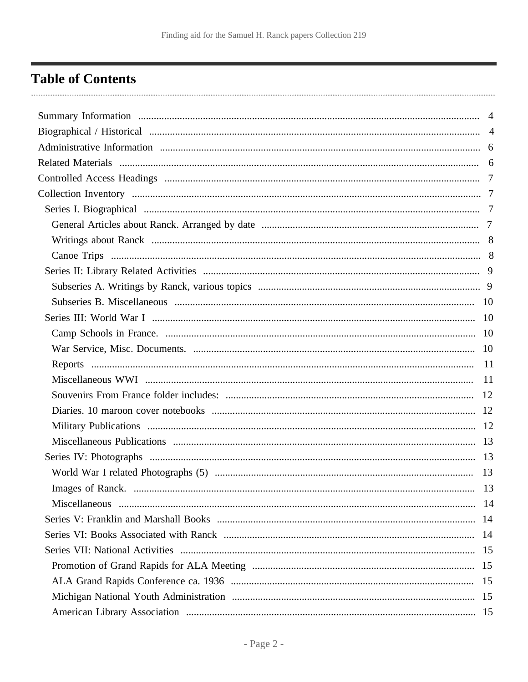## <span id="page-1-0"></span>**Table of Contents**

| 13 |
|----|
|    |
|    |
|    |
|    |
|    |
|    |
|    |
|    |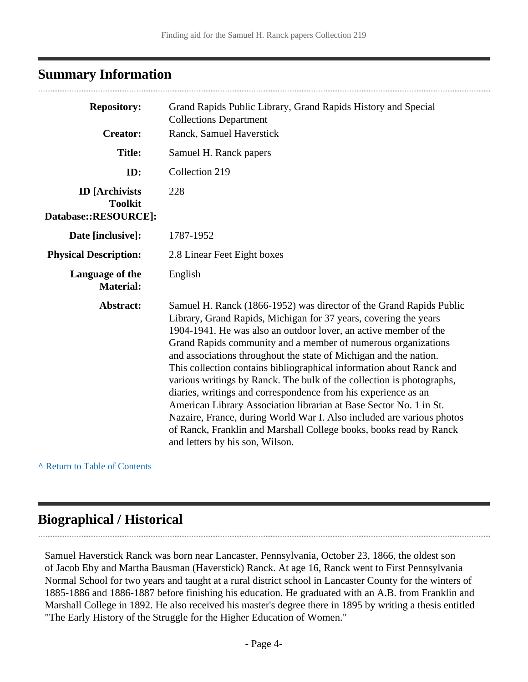## <span id="page-3-0"></span>**Summary Information**

| <b>Repository:</b>                                              | Grand Rapids Public Library, Grand Rapids History and Special<br><b>Collections Department</b>                                                                                                                                                                                                                                                                                                                                                                                                                                                                                                                                                                                                                                                                                                                               |  |
|-----------------------------------------------------------------|------------------------------------------------------------------------------------------------------------------------------------------------------------------------------------------------------------------------------------------------------------------------------------------------------------------------------------------------------------------------------------------------------------------------------------------------------------------------------------------------------------------------------------------------------------------------------------------------------------------------------------------------------------------------------------------------------------------------------------------------------------------------------------------------------------------------------|--|
| <b>Creator:</b>                                                 | Ranck, Samuel Haverstick                                                                                                                                                                                                                                                                                                                                                                                                                                                                                                                                                                                                                                                                                                                                                                                                     |  |
| <b>Title:</b>                                                   | Samuel H. Ranck papers                                                                                                                                                                                                                                                                                                                                                                                                                                                                                                                                                                                                                                                                                                                                                                                                       |  |
| ID:                                                             | Collection 219                                                                                                                                                                                                                                                                                                                                                                                                                                                                                                                                                                                                                                                                                                                                                                                                               |  |
| <b>ID</b> [Archivists<br><b>Toolkit</b><br>Database::RESOURCE]: | 228                                                                                                                                                                                                                                                                                                                                                                                                                                                                                                                                                                                                                                                                                                                                                                                                                          |  |
| Date [inclusive]:                                               | 1787-1952                                                                                                                                                                                                                                                                                                                                                                                                                                                                                                                                                                                                                                                                                                                                                                                                                    |  |
| <b>Physical Description:</b>                                    | 2.8 Linear Feet Eight boxes                                                                                                                                                                                                                                                                                                                                                                                                                                                                                                                                                                                                                                                                                                                                                                                                  |  |
| Language of the<br><b>Material:</b>                             | English                                                                                                                                                                                                                                                                                                                                                                                                                                                                                                                                                                                                                                                                                                                                                                                                                      |  |
| Abstract:                                                       | Samuel H. Ranck (1866-1952) was director of the Grand Rapids Public<br>Library, Grand Rapids, Michigan for 37 years, covering the years<br>1904-1941. He was also an outdoor lover, an active member of the<br>Grand Rapids community and a member of numerous organizations<br>and associations throughout the state of Michigan and the nation.<br>This collection contains bibliographical information about Ranck and<br>various writings by Ranck. The bulk of the collection is photographs,<br>diaries, writings and correspondence from his experience as an<br>American Library Association librarian at Base Sector No. 1 in St.<br>Nazaire, France, during World War I. Also included are various photos<br>of Ranck, Franklin and Marshall College books, books read by Ranck<br>and letters by his son, Wilson. |  |

**^** [Return to Table of Contents](#page-1-0)

## <span id="page-3-1"></span>**Biographical / Historical**

Samuel Haverstick Ranck was born near Lancaster, Pennsylvania, October 23, 1866, the oldest son of Jacob Eby and Martha Bausman (Haverstick) Ranck. At age 16, Ranck went to First Pennsylvania Normal School for two years and taught at a rural district school in Lancaster County for the winters of 1885-1886 and 1886-1887 before finishing his education. He graduated with an A.B. from Franklin and Marshall College in 1892. He also received his master's degree there in 1895 by writing a thesis entitled "The Early History of the Struggle for the Higher Education of Women."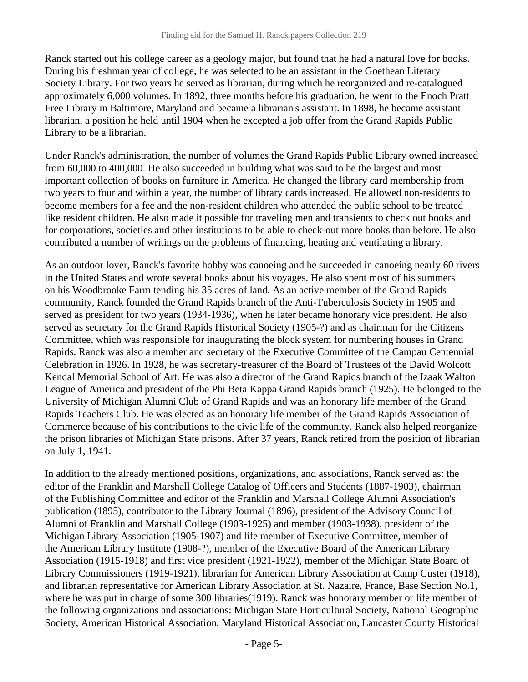Ranck started out his college career as a geology major, but found that he had a natural love for books. During his freshman year of college, he was selected to be an assistant in the Goethean Literary Society Library. For two years he served as librarian, during which he reorganized and re-catalogued approximately 6,000 volumes. In 1892, three months before his graduation, he went to the Enoch Pratt Free Library in Baltimore, Maryland and became a librarian's assistant. In 1898, he became assistant librarian, a position he held until 1904 when he excepted a job offer from the Grand Rapids Public Library to be a librarian.

Under Ranck's administration, the number of volumes the Grand Rapids Public Library owned increased from 60,000 to 400,000. He also succeeded in building what was said to be the largest and most important collection of books on furniture in America. He changed the library card membership from two years to four and within a year, the number of library cards increased. He allowed non-residents to become members for a fee and the non-resident children who attended the public school to be treated like resident children. He also made it possible for traveling men and transients to check out books and for corporations, societies and other institutions to be able to check-out more books than before. He also contributed a number of writings on the problems of financing, heating and ventilating a library.

As an outdoor lover, Ranck's favorite hobby was canoeing and he succeeded in canoeing nearly 60 rivers in the United States and wrote several books about his voyages. He also spent most of his summers on his Woodbrooke Farm tending his 35 acres of land. As an active member of the Grand Rapids community, Ranck founded the Grand Rapids branch of the Anti-Tuberculosis Society in 1905 and served as president for two years (1934-1936), when he later became honorary vice president. He also served as secretary for the Grand Rapids Historical Society (1905-?) and as chairman for the Citizens Committee, which was responsible for inaugurating the block system for numbering houses in Grand Rapids. Ranck was also a member and secretary of the Executive Committee of the Campau Centennial Celebration in 1926. In 1928, he was secretary-treasurer of the Board of Trustees of the David Wolcott Kendal Memorial School of Art. He was also a director of the Grand Rapids branch of the Izaak Walton League of America and president of the Phi Beta Kappa Grand Rapids branch (1925). He belonged to the University of Michigan Alumni Club of Grand Rapids and was an honorary life member of the Grand Rapids Teachers Club. He was elected as an honorary life member of the Grand Rapids Association of Commerce because of his contributions to the civic life of the community. Ranck also helped reorganize the prison libraries of Michigan State prisons. After 37 years, Ranck retired from the position of librarian on July 1, 1941.

In addition to the already mentioned positions, organizations, and associations, Ranck served as: the editor of the Franklin and Marshall College Catalog of Officers and Students (1887-1903), chairman of the Publishing Committee and editor of the Franklin and Marshall College Alumni Association's publication (1895), contributor to the Library Journal (1896), president of the Advisory Council of Alumni of Franklin and Marshall College (1903-1925) and member (1903-1938), president of the Michigan Library Association (1905-1907) and life member of Executive Committee, member of the American Library Institute (1908-?), member of the Executive Board of the American Library Association (1915-1918) and first vice president (1921-1922), member of the Michigan State Board of Library Commissioners (1919-1921), librarian for American Library Association at Camp Custer (1918), and librarian representative for American Library Association at St. Nazaire, France, Base Section No.1, where he was put in charge of some 300 libraries(1919). Ranck was honorary member or life member of the following organizations and associations: Michigan State Horticultural Society, National Geographic Society, American Historical Association, Maryland Historical Association, Lancaster County Historical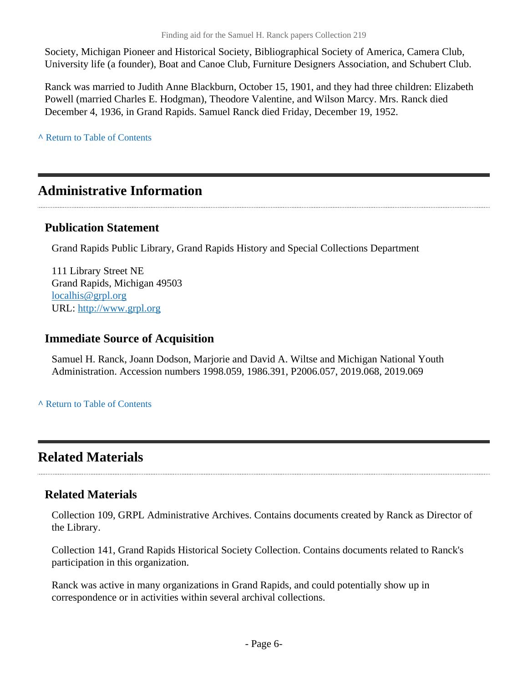Society, Michigan Pioneer and Historical Society, Bibliographical Society of America, Camera Club, University life (a founder), Boat and Canoe Club, Furniture Designers Association, and Schubert Club.

Ranck was married to Judith Anne Blackburn, October 15, 1901, and they had three children: Elizabeth Powell (married Charles E. Hodgman), Theodore Valentine, and Wilson Marcy. Mrs. Ranck died December 4, 1936, in Grand Rapids. Samuel Ranck died Friday, December 19, 1952.

**^** [Return to Table of Contents](#page-1-0)

## <span id="page-5-0"></span>**Administrative Information**

### **Publication Statement**

Grand Rapids Public Library, Grand Rapids History and Special Collections Department

111 Library Street NE Grand Rapids, Michigan 49503 [localhis@grpl.org](mailto:localhis@grpl.org) URL:<http://www.grpl.org>

#### **Immediate Source of Acquisition**

Samuel H. Ranck, Joann Dodson, Marjorie and David A. Wiltse and Michigan National Youth Administration. Accession numbers 1998.059, 1986.391, P2006.057, 2019.068, 2019.069

**^** [Return to Table of Contents](#page-1-0)

## <span id="page-5-1"></span>**Related Materials**

### **Related Materials**

Collection 109, GRPL Administrative Archives. Contains documents created by Ranck as Director of the Library.

Collection 141, Grand Rapids Historical Society Collection. Contains documents related to Ranck's participation in this organization.

Ranck was active in many organizations in Grand Rapids, and could potentially show up in correspondence or in activities within several archival collections.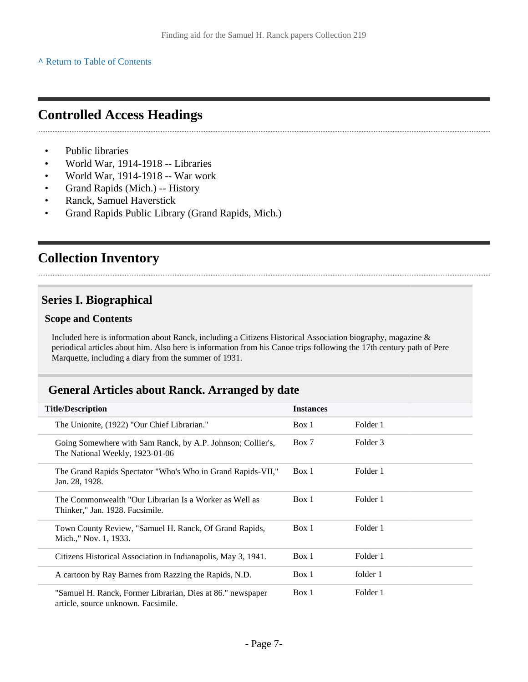#### **^** [Return to Table of Contents](#page-1-0)

## <span id="page-6-0"></span>**Controlled Access Headings**

- Public libraries
- World War, 1914-1918 -- Libraries
- World War, 1914-1918 -- War work
- Grand Rapids (Mich.) -- History
- Ranck, Samuel Haverstick
- Grand Rapids Public Library (Grand Rapids, Mich.)

## <span id="page-6-1"></span>**Collection Inventory**

### <span id="page-6-2"></span>**Series I. Biographical**

#### **Scope and Contents**

Included here is information about Ranck, including a Citizens Historical Association biography, magazine & periodical articles about him. Also here is information from his Canoe trips following the 17th century path of Pere Marquette, including a diary from the summer of 1931.

### <span id="page-6-3"></span>**General Articles about Ranck. Arranged by date**

| <b>Title/Description</b>                                                                          | <b>Instances</b> |          |
|---------------------------------------------------------------------------------------------------|------------------|----------|
| The Unionite, (1922) "Our Chief Librarian."                                                       | Box 1            | Folder 1 |
| Going Somewhere with Sam Ranck, by A.P. Johnson; Collier's,<br>The National Weekly, 1923-01-06    | Box 7            | Folder 3 |
| The Grand Rapids Spectator "Who's Who in Grand Rapids-VII,"<br>Jan. 28, 1928.                     | Box 1            | Folder 1 |
| The Commonwealth "Our Librarian Is a Worker as Well as<br>Thinker," Jan. 1928. Facsimile.         | Box 1            | Folder 1 |
| Town County Review, "Samuel H. Ranck, Of Grand Rapids,<br>Mich.," Nov. 1, 1933.                   | Box 1            | Folder 1 |
| Citizens Historical Association in Indianapolis, May 3, 1941.                                     | Box 1            | Folder 1 |
| A cartoon by Ray Barnes from Razzing the Rapids, N.D.                                             | Box 1            | folder 1 |
| "Samuel H. Ranck, Former Librarian, Dies at 86." newspaper<br>article, source unknown. Facsimile. | Box 1            | Folder 1 |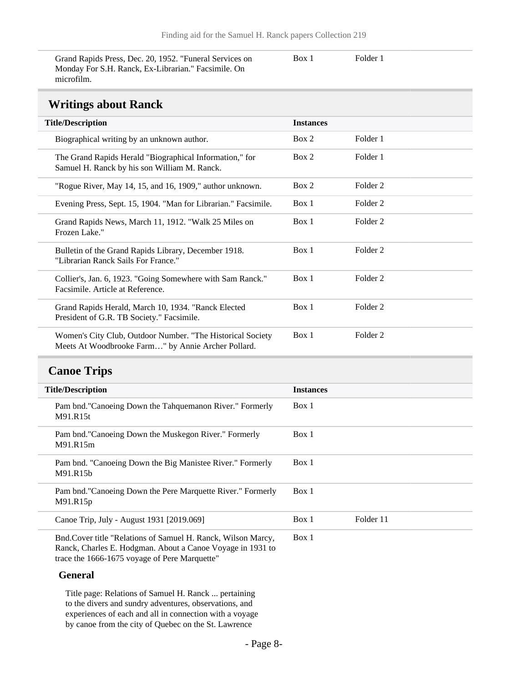Grand Rapids Press, Dec. 20, 1952. "Funeral Services on Monday For S.H. Ranck, Ex-Librarian." Facsimile. On microfilm.

Box 1 Folder 1

### **Writings about Ranck**

<span id="page-7-0"></span>

| WALKING GOOGL IMMICH                                                                                             |                  |          |
|------------------------------------------------------------------------------------------------------------------|------------------|----------|
| <b>Title/Description</b>                                                                                         | <b>Instances</b> |          |
| Biographical writing by an unknown author.                                                                       | Box 2            | Folder 1 |
| The Grand Rapids Herald "Biographical Information," for<br>Samuel H. Ranck by his son William M. Ranck.          | Box 2            | Folder 1 |
| "Rogue River, May 14, 15, and 16, 1909," author unknown.                                                         | Box 2            | Folder 2 |
| Evening Press, Sept. 15, 1904. "Man for Librarian." Facsimile.                                                   | Box 1            | Folder 2 |
| Grand Rapids News, March 11, 1912. "Walk 25 Miles on<br>Frozen Lake."                                            | Box 1            | Folder 2 |
| Bulletin of the Grand Rapids Library, December 1918.<br>"Librarian Ranck Sails For France."                      | Box 1            | Folder 2 |
| Collier's, Jan. 6, 1923. "Going Somewhere with Sam Ranck."<br>Facsimile. Article at Reference.                   | Box 1            | Folder 2 |
| Grand Rapids Herald, March 10, 1934. "Ranck Elected<br>President of G.R. TB Society." Facsimile.                 | Box 1            | Folder 2 |
| Women's City Club, Outdoor Number. "The Historical Society<br>Meets At Woodbrooke Farm" by Annie Archer Pollard. | Box 1            | Folder 2 |

## <span id="page-7-1"></span>**Canoe Trips**

| <b>Title/Description</b>                                                                                                                                                     | <b>Instances</b> |           |
|------------------------------------------------------------------------------------------------------------------------------------------------------------------------------|------------------|-----------|
| Pam bnd."Canoeing Down the Tahquemanon River." Formerly<br>M91.R15t                                                                                                          | Box 1            |           |
| Pam bnd."Canoeing Down the Muskegon River." Formerly<br>M91.R15m                                                                                                             | Box 1            |           |
| Pam bnd. "Canoeing Down the Big Manistee River." Formerly<br>M91.R15b                                                                                                        | Box 1            |           |
| Pam bnd. "Canoeing Down the Pere Marquette River." Formerly<br>M91.R15p                                                                                                      | Box 1            |           |
| Canoe Trip, July - August 1931 [2019.069]                                                                                                                                    | Box 1            | Folder 11 |
| Bnd. Cover title "Relations of Samuel H. Ranck, Wilson Marcy,<br>Ranck, Charles E. Hodgman. About a Canoe Voyage in 1931 to<br>trace the 1666-1675 voyage of Pere Marquette" | Box 1            |           |

#### **General**

Title page: Relations of Samuel H. Ranck ... pertaining to the divers and sundry adventures, observations, and experiences of each and all in connection with a voyage by canoe from the city of Quebec on the St. Lawrence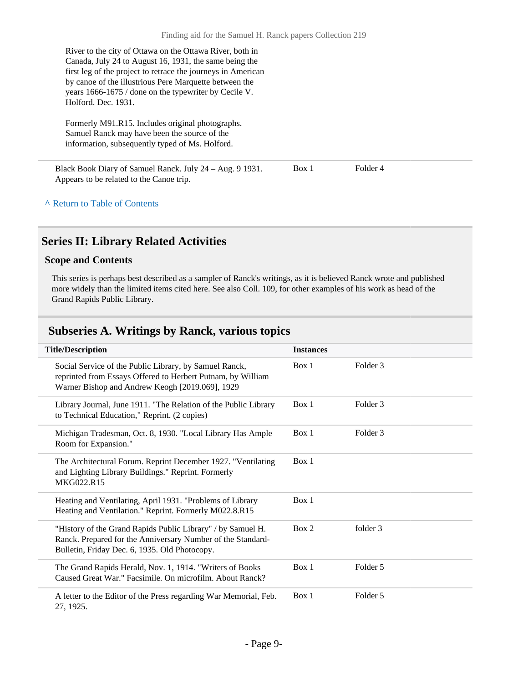River to the city of Ottawa on the Ottawa River, both in Canada, July 24 to August 16, 1931, the same being the first leg of the project to retrace the journeys in American by canoe of the illustrious Pere Marquette between the years 1666-1675 / done on the typewriter by Cecile V. Holford. Dec. 1931.

Formerly M91.R15. Includes original photographs. Samuel Ranck may have been the source of the information, subsequently typed of Ms. Holford.

Black Book Diary of Samuel Ranck. July 24 – Aug. 9 1931. Appears to be related to the Canoe trip. Box 1 Folder 4

#### **^** [Return to Table of Contents](#page-1-0)

### <span id="page-8-0"></span>**Series II: Library Related Activities**

#### **Scope and Contents**

This series is perhaps best described as a sampler of Ranck's writings, as it is believed Ranck wrote and published more widely than the limited items cited here. See also Coll. 109, for other examples of his work as head of the Grand Rapids Public Library.

#### <span id="page-8-1"></span>**Subseries A. Writings by Ranck, various topics**

| <b>Title/Description</b>                                                                                                                                                    | <b>Instances</b> |          |
|-----------------------------------------------------------------------------------------------------------------------------------------------------------------------------|------------------|----------|
| Social Service of the Public Library, by Samuel Ranck,<br>reprinted from Essays Offered to Herbert Putnam, by William<br>Warner Bishop and Andrew Keogh [2019.069], 1929    | Box 1            | Folder 3 |
| Library Journal, June 1911. "The Relation of the Public Library<br>to Technical Education," Reprint. (2 copies)                                                             | Box 1            | Folder 3 |
| Michigan Tradesman, Oct. 8, 1930. "Local Library Has Ample<br>Room for Expansion."                                                                                          | Box 1            | Folder 3 |
| The Architectural Forum. Reprint December 1927. "Ventilating<br>and Lighting Library Buildings." Reprint. Formerly<br>MKG022.R15                                            | Box 1            |          |
| Heating and Ventilating, April 1931. "Problems of Library<br>Heating and Ventilation." Reprint. Formerly M022.8.R15                                                         | Box 1            |          |
| "History of the Grand Rapids Public Library" / by Samuel H.<br>Ranck. Prepared for the Anniversary Number of the Standard-<br>Bulletin, Friday Dec. 6, 1935. Old Photocopy. | Box 2            | folder 3 |
| The Grand Rapids Herald, Nov. 1, 1914. "Writers of Books"<br>Caused Great War." Facsimile, On microfilm, About Ranck?                                                       | Box 1            | Folder 5 |
| A letter to the Editor of the Press regarding War Memorial, Feb.<br>27, 1925.                                                                                               | Box 1            | Folder 5 |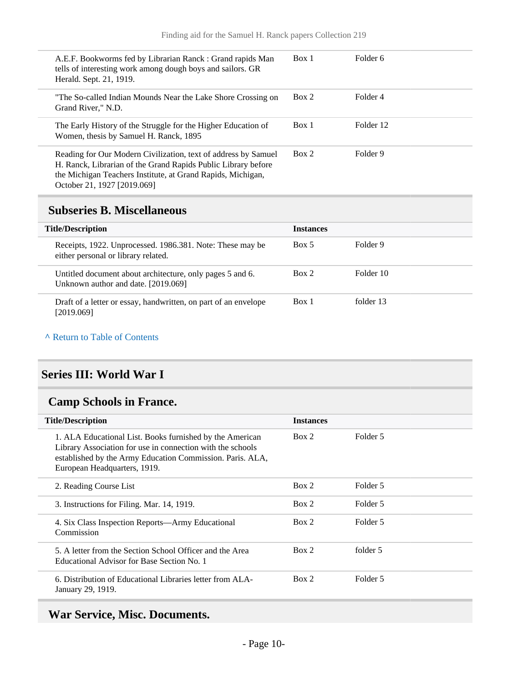| A.E.F. Bookworms fed by Librarian Ranck: Grand rapids Man<br>tells of interesting work among dough boys and sailors. GR<br>Herald. Sept. 21, 1919.                                                                            | Box 1 | Folder 6  |
|-------------------------------------------------------------------------------------------------------------------------------------------------------------------------------------------------------------------------------|-------|-----------|
| "The So-called Indian Mounds Near the Lake Shore Crossing on<br>Grand River," N.D.                                                                                                                                            | Box 2 | Folder 4  |
| The Early History of the Struggle for the Higher Education of<br>Women, thesis by Samuel H. Ranck, 1895                                                                                                                       | Box 1 | Folder 12 |
| Reading for Our Modern Civilization, text of address by Samuel<br>H. Ranck, Librarian of the Grand Rapids Public Library before<br>the Michigan Teachers Institute, at Grand Rapids, Michigan,<br>October 21, 1927 [2019.069] | Box 2 | Folder 9  |

### <span id="page-9-0"></span>**Subseries B. Miscellaneous**

| <b>Title/Description</b>                                                                         | <b>Instances</b> |           |
|--------------------------------------------------------------------------------------------------|------------------|-----------|
| Receipts, 1922. Unprocessed. 1986.381. Note: These may be<br>either personal or library related. | Box 5            | Folder 9  |
| Untitled document about architecture, only pages 5 and 6.<br>Unknown author and date. [2019.069] | Box 2            | Folder 10 |
| Draft of a letter or essay, handwritten, on part of an envelope<br>[2019.069]                    | Box 1            | folder 13 |

#### **^** [Return to Table of Contents](#page-1-0)

### <span id="page-9-1"></span>**Series III: World War I**

## <span id="page-9-2"></span>**Camp Schools in France.**

| <b>Title/Description</b>                                                                                                                                                                                            | <b>Instances</b> |          |
|---------------------------------------------------------------------------------------------------------------------------------------------------------------------------------------------------------------------|------------------|----------|
| 1. ALA Educational List. Books furnished by the American<br>Library Association for use in connection with the schools<br>established by the Army Education Commission. Paris. ALA,<br>European Headquarters, 1919. | Box 2            | Folder 5 |
| 2. Reading Course List                                                                                                                                                                                              | Box 2            | Folder 5 |
| 3. Instructions for Filing. Mar. 14, 1919.                                                                                                                                                                          | Box 2            | Folder 5 |
| 4. Six Class Inspection Reports—Army Educational<br>Commission                                                                                                                                                      | Box 2            | Folder 5 |
| 5. A letter from the Section School Officer and the Area<br>Educational Advisor for Base Section No. 1                                                                                                              | Box 2            | folder 5 |
| 6. Distribution of Educational Libraries letter from ALA-<br>January 29, 1919.                                                                                                                                      | Box 2            | Folder 5 |

## <span id="page-9-3"></span>**War Service, Misc. Documents.**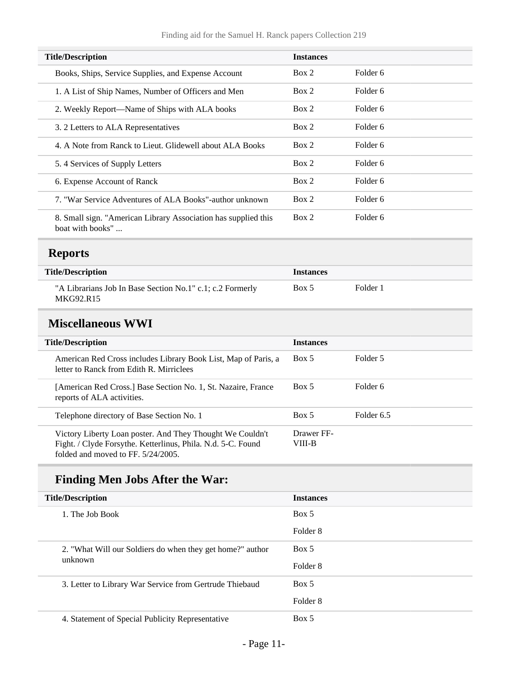| <b>Title/Description</b>                                                           | <b>Instances</b> |          |  |
|------------------------------------------------------------------------------------|------------------|----------|--|
| Books, Ships, Service Supplies, and Expense Account                                | Box 2            | Folder 6 |  |
| 1. A List of Ship Names, Number of Officers and Men                                | Box 2            | Folder 6 |  |
| 2. Weekly Report—Name of Ships with ALA books                                      | Box 2            | Folder 6 |  |
| 3. 2 Letters to ALA Representatives                                                | Box 2            | Folder 6 |  |
| 4. A Note from Ranck to Lieut. Glidewell about ALA Books                           | Box 2            | Folder 6 |  |
| 5.4 Services of Supply Letters                                                     | Box 2            | Folder 6 |  |
| 6. Expense Account of Ranck                                                        | Box 2            | Folder 6 |  |
| 7. "War Service Adventures of ALA Books"-author unknown                            | Box 2            | Folder 6 |  |
| 8. Small sign. "American Library Association has supplied this<br>boat with books" | Box 2            | Folder 6 |  |

## <span id="page-10-0"></span>**Reports**

| <b>Title/Description</b>                                               | <b>Instances</b> |          |
|------------------------------------------------------------------------|------------------|----------|
| "A Librarians Job In Base Section No.1" c.1; c.2 Formerly<br>MKG92.R15 | Box 5            | Folder 1 |

## <span id="page-10-1"></span>**Miscellaneous WWI**

| <b>Title/Description</b>                                                                                                                                           | <b>Instances</b>     |            |
|--------------------------------------------------------------------------------------------------------------------------------------------------------------------|----------------------|------------|
| American Red Cross includes Library Book List, Map of Paris, a<br>letter to Ranck from Edith R. Mirriclees                                                         | Box 5                | Folder 5   |
| [American Red Cross.] Base Section No. 1, St. Nazaire, France<br>reports of ALA activities.                                                                        | Box 5                | Folder 6   |
| Telephone directory of Base Section No. 1                                                                                                                          | Box 5                | Folder 6.5 |
| Victory Liberty Loan poster. And They Thought We Couldn't<br>Fight. / Clyde Forsythe. Ketterlinus, Phila. N.d. 5-C. Found<br>folded and moved to $FF. 5/24/2005$ . | Drawer FF-<br>VIII-B |            |

## **Finding Men Jobs After the War:**

| <b>Title/Description</b> |                                                           | <b>Instances</b> |
|--------------------------|-----------------------------------------------------------|------------------|
|                          | 1. The Job Book                                           | Box 5            |
|                          |                                                           | Folder 8         |
|                          | 2. "What Will our Soldiers do when they get home?" author | Box 5            |
| unknown                  | Folder 8                                                  |                  |
|                          | 3. Letter to Library War Service from Gertrude Thiebaud   | Box 5            |
|                          |                                                           | Folder 8         |
|                          | 4. Statement of Special Publicity Representative          | Box 5            |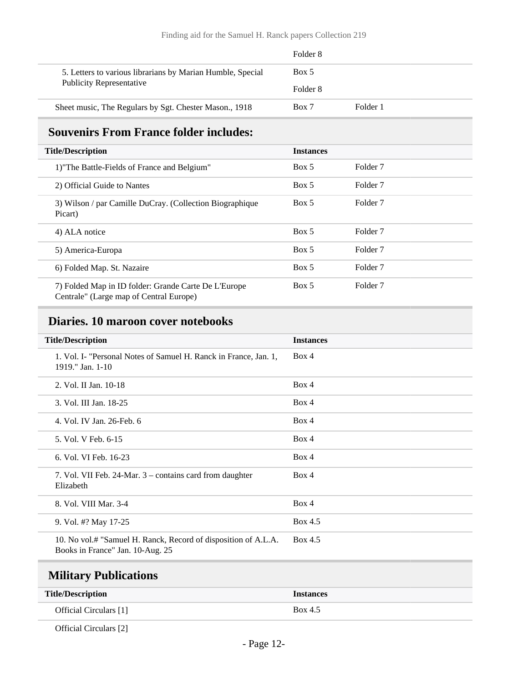|                                                            | Folder 8 |          |
|------------------------------------------------------------|----------|----------|
| 5. Letters to various librarians by Marian Humble, Special | Box 5    |          |
| <b>Publicity Representative</b>                            | Folder 8 |          |
| Sheet music, The Regulars by Sgt. Chester Mason., 1918     | Box 7    | Folder 1 |

## <span id="page-11-0"></span>**Souvenirs From France folder includes:**

| <b>Title/Description</b>                                                                        | <b>Instances</b> |                     |
|-------------------------------------------------------------------------------------------------|------------------|---------------------|
| 1) The Battle-Fields of France and Belgium"                                                     | Box 5            | Folder <sub>7</sub> |
| 2) Official Guide to Nantes                                                                     | Box 5            | Folder <sub>7</sub> |
| 3) Wilson / par Camille DuCray. (Collection Biographique<br>Picart)                             | Box 5            | Folder <sub>7</sub> |
| 4) ALA notice                                                                                   | Box 5            | Folder <sub>7</sub> |
| 5) America-Europa                                                                               | Box 5            | Folder <sub>7</sub> |
| 6) Folded Map. St. Nazaire                                                                      | Box 5            | Folder <sub>7</sub> |
| 7) Folded Map in ID folder: Grande Carte De L'Europe<br>Centrale" (Large map of Central Europe) | Box 5            | Folder <sub>7</sub> |

## <span id="page-11-1"></span>**Diaries. 10 maroon cover notebooks**

| <b>Title/Description</b>                                                                           | <b>Instances</b> |
|----------------------------------------------------------------------------------------------------|------------------|
| 1. Vol. I- "Personal Notes of Samuel H. Ranck in France, Jan. 1,<br>1919." Jan. $1-10$             | Box 4            |
| 2. Vol. II Jan. 10-18                                                                              | Box 4            |
| 3. Vol. III Jan. 18-25                                                                             | Box 4            |
| 4. Vol. IV Jan. 26-Feb. 6                                                                          | Box 4            |
| 5. Vol. V Feb. 6-15                                                                                | Box 4            |
| 6. Vol. VI Feb. 16-23                                                                              | Box 4            |
| 7. Vol. VII Feb. 24-Mar. 3 – contains card from daughter<br>Elizabeth                              | Box 4            |
| 8. Vol. VIII Mar. 3-4                                                                              | Box 4            |
| 9. Vol. #? May 17-25                                                                               | Box 4.5          |
| 10. No vol.# "Samuel H. Ranck, Record of disposition of A.L.A.<br>Books in France" Jan. 10-Aug. 25 | Box 4.5          |

## <span id="page-11-2"></span>**Military Publications**

| <b>Title/Description</b> | <b>Instances</b> |
|--------------------------|------------------|
| Official Circulars [1]   | Box 4.5          |

Official Circulars [2]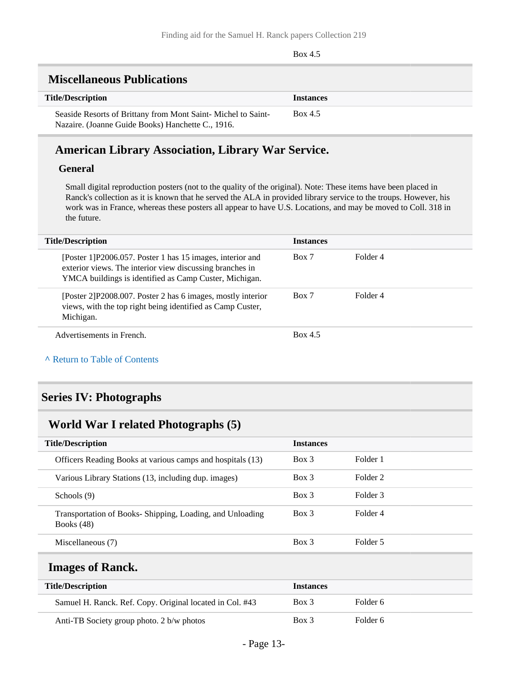Box 4.5

#### <span id="page-12-0"></span>**Miscellaneous Publications**

| тивеснаневая і арнеайшя                                                                                           |                  |
|-------------------------------------------------------------------------------------------------------------------|------------------|
| <b>Title/Description</b>                                                                                          | <b>Instances</b> |
| Seaside Resorts of Brittany from Mont Saint-Michel to Saint-<br>Nazaire. (Joanne Guide Books) Hanchette C., 1916. | Box 4.5          |

### **American Library Association, Library War Service.**

#### **General**

Small digital reproduction posters (not to the quality of the original). Note: These items have been placed in Ranck's collection as it is known that he served the ALA in provided library service to the troups. However, his work was in France, whereas these posters all appear to have U.S. Locations, and may be moved to Coll. 318 in the future.

| <b>Title/Description</b>                                                                                                                                                         | <b>Instances</b> |          |
|----------------------------------------------------------------------------------------------------------------------------------------------------------------------------------|------------------|----------|
| [Poster 1] P2006.057. Poster 1 has 15 images, interior and<br>exterior views. The interior view discussing branches in<br>YMCA buildings is identified as Camp Custer, Michigan. | Box 7            | Folder 4 |
| [Poster 2] P2008.007. Poster 2 has 6 images, mostly interior<br>views, with the top right being identified as Camp Custer,<br>Michigan.                                          | Box 7            | Folder 4 |
| Advertisements in French.                                                                                                                                                        | Box 4.5          |          |

#### **^** [Return to Table of Contents](#page-1-0)

### <span id="page-12-1"></span>**Series IV: Photographs**

### <span id="page-12-2"></span>**World War I related Photographs (5)**

| <b>Title/Description</b>                                                 | <b>Instances</b> |          |
|--------------------------------------------------------------------------|------------------|----------|
| Officers Reading Books at various camps and hospitals (13)               | $Box$ 3          | Folder 1 |
| Various Library Stations (13, including dup. images)                     | Box 3            | Folder 2 |
| Schools (9)                                                              | Box 3            | Folder 3 |
| Transportation of Books-Shipping, Loading, and Unloading<br>Books $(48)$ | $Box$ 3          | Folder 4 |
| Miscellaneous (7)                                                        | $Box$ 3          | Folder 5 |

### <span id="page-12-3"></span>**Images of Ranck.**

| <b>Title/Description</b>                                 | <b>Instances</b> |          |
|----------------------------------------------------------|------------------|----------|
| Samuel H. Ranck. Ref. Copy. Original located in Col. #43 | Box 3            | Folder 6 |
| Anti-TB Society group photo. 2 b/w photos                | Box 3            | Folder 6 |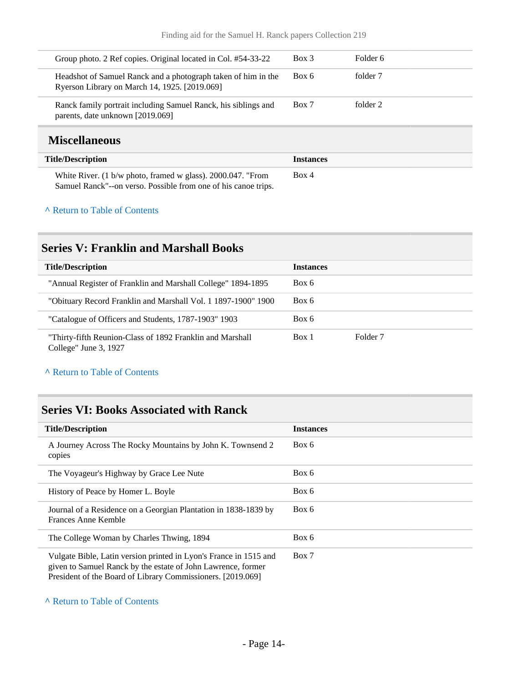| Group photo. 2 Ref copies. Original located in Col. #54-33-22                                                  | Box 3 | Folder 6 |
|----------------------------------------------------------------------------------------------------------------|-------|----------|
| Headshot of Samuel Ranck and a photograph taken of him in the<br>Ryerson Library on March 14, 1925. [2019.069] | Box 6 | folder 7 |
| Ranck family portrait including Samuel Ranck, his siblings and<br>parents, date unknown [2019.069]             | Box 7 | folder 2 |
| $M^2$ acallamaarra                                                                                             |       |          |

### <span id="page-13-0"></span>**Miscellaneous**

| <b>Title/Description</b>                                                                                                      | <b>Instances</b> |
|-------------------------------------------------------------------------------------------------------------------------------|------------------|
| White River. (1 b/w photo, framed w glass). 2000.047. "From<br>Samuel Ranck"--on verso. Possible from one of his canoe trips. | Box 4            |

#### **^** [Return to Table of Contents](#page-1-0)

### <span id="page-13-1"></span>**Series V: Franklin and Marshall Books**

| <b>Title/Description</b>                                                           | <b>Instances</b> |          |
|------------------------------------------------------------------------------------|------------------|----------|
| "Annual Register of Franklin and Marshall College" 1894-1895                       | Box 6            |          |
| "Obituary Record Franklin and Marshall Vol. 1 1897-1900" 1900                      | Box 6            |          |
| "Catalogue of Officers and Students, 1787-1903" 1903                               | Box 6            |          |
| "Thirty-fifth Reunion-Class of 1892 Franklin and Marshall<br>College" June 3, 1927 | Box 1            | Folder 7 |

#### **^** [Return to Table of Contents](#page-1-0)

## <span id="page-13-2"></span>**Series VI: Books Associated with Ranck**

| <b>Title/Description</b>                                                                                                                                                                         | <b>Instances</b> |
|--------------------------------------------------------------------------------------------------------------------------------------------------------------------------------------------------|------------------|
| A Journey Across The Rocky Mountains by John K. Townsend 2<br>copies                                                                                                                             | Box 6            |
| The Voyageur's Highway by Grace Lee Nute                                                                                                                                                         | Box 6            |
| History of Peace by Homer L. Boyle                                                                                                                                                               | Box 6            |
| Journal of a Residence on a Georgian Plantation in 1838-1839 by<br>Frances Anne Kemble                                                                                                           | Box 6            |
| The College Woman by Charles Thwing, 1894                                                                                                                                                        | Box 6            |
| Vulgate Bible, Latin version printed in Lyon's France in 1515 and<br>given to Samuel Ranck by the estate of John Lawrence, former<br>President of the Board of Library Commissioners. [2019.069] | Box 7            |

#### **^** [Return to Table of Contents](#page-1-0)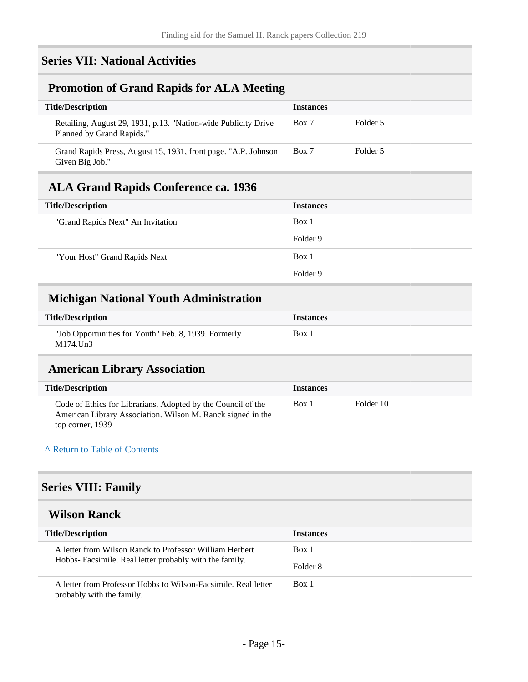## <span id="page-14-0"></span>**Series VII: National Activities**

### <span id="page-14-1"></span>**Promotion of Grand Rapids for ALA Meeting**

| <b>Title/Description</b>                                                                    | <b>Instances</b> |          |
|---------------------------------------------------------------------------------------------|------------------|----------|
| Retailing, August 29, 1931, p.13. "Nation-wide Publicity Drive<br>Planned by Grand Rapids." | Box 7            | Folder 5 |
| Grand Rapids Press, August 15, 1931, front page. "A.P. Johnson<br>Given Big Job."           | Box 7            | Folder 5 |

## <span id="page-14-2"></span>**ALA Grand Rapids Conference ca. 1936**

| <b>Title/Description</b>          | <b>Instances</b> |
|-----------------------------------|------------------|
| "Grand Rapids Next" An Invitation | Box 1            |
|                                   | Folder 9         |
| "Your Host" Grand Rapids Next     | Box 1            |
|                                   | Folder 9         |

### <span id="page-14-3"></span>**Michigan National Youth Administration**

| <b>Title/Description</b>                                         | <i><u><b>Instances</b></u></i> |
|------------------------------------------------------------------|--------------------------------|
| "Job Opportunities for Youth" Feb. 8, 1939. Formerly<br>M174.Un3 | Box 1                          |

### <span id="page-14-4"></span>**American Library Association**

| <b>Title/Description</b>                                                                                                                        | <b>Instances</b> |           |
|-------------------------------------------------------------------------------------------------------------------------------------------------|------------------|-----------|
| Code of Ethics for Librarians, Adopted by the Council of the<br>American Library Association. Wilson M. Ranck signed in the<br>top corner, 1939 | Box 1            | Folder 10 |

#### **^** [Return to Table of Contents](#page-1-0)

### <span id="page-14-5"></span>**Series VIII: Family**

## <span id="page-14-6"></span>**Wilson Ranck**

| <b>Title/Description</b>                                                                                           | <b>Instances</b> |
|--------------------------------------------------------------------------------------------------------------------|------------------|
| A letter from Wilson Ranck to Professor William Herbert<br>Hobbs- Facsimile. Real letter probably with the family. | Box 1            |
|                                                                                                                    | Folder 8         |
| A letter from Professor Hobbs to Wilson-Facsimile. Real letter<br>probably with the family.                        | Box 1            |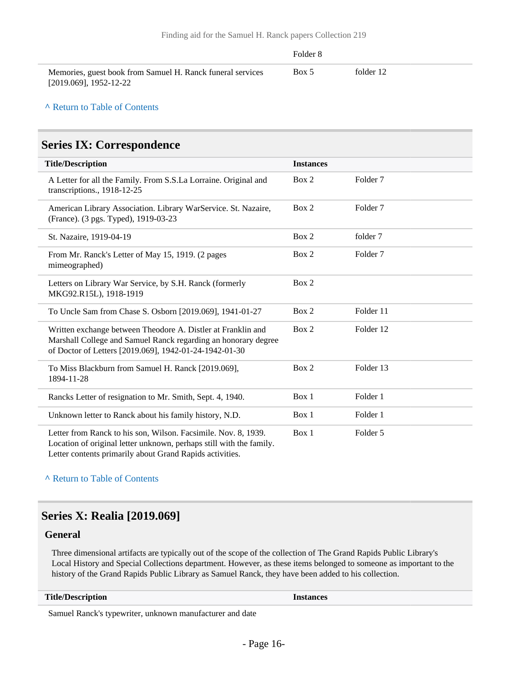|                                                                                      | Folder 8 |           |
|--------------------------------------------------------------------------------------|----------|-----------|
| Memories, guest book from Samuel H. Ranck funeral services<br>[2019.069], 1952-12-22 | Box 5    | folder 12 |

#### **^** [Return to Table of Contents](#page-1-0)

#### <span id="page-15-0"></span>**Series IX: Correspondence**

| <b>Title/Description</b>                                                                                                                                                                 | <b>Instances</b> |                     |  |
|------------------------------------------------------------------------------------------------------------------------------------------------------------------------------------------|------------------|---------------------|--|
| A Letter for all the Family. From S.S.La Lorraine. Original and<br>transcriptions., 1918-12-25                                                                                           | Box 2            | Folder <sub>7</sub> |  |
| American Library Association. Library WarService. St. Nazaire,<br>(France). (3 pgs. Typed), 1919-03-23                                                                                   | Box 2            | Folder <sub>7</sub> |  |
| St. Nazaire, 1919-04-19                                                                                                                                                                  | Box 2            | folder 7            |  |
| From Mr. Ranck's Letter of May 15, 1919. (2 pages<br>mimeographed)                                                                                                                       | Box 2            | Folder <sub>7</sub> |  |
| Letters on Library War Service, by S.H. Ranck (formerly<br>MKG92.R15L), 1918-1919                                                                                                        | Box 2            |                     |  |
| To Uncle Sam from Chase S. Osborn [2019.069], 1941-01-27                                                                                                                                 | Box 2            | Folder 11           |  |
| Written exchange between Theodore A. Distler at Franklin and<br>Marshall College and Samuel Ranck regarding an honorary degree<br>of Doctor of Letters [2019.069], 1942-01-24-1942-01-30 | Box 2            | Folder 12           |  |
| To Miss Blackburn from Samuel H. Ranck [2019.069],<br>1894-11-28                                                                                                                         | Box 2            | Folder 13           |  |
| Rancks Letter of resignation to Mr. Smith, Sept. 4, 1940.                                                                                                                                | Box 1            | Folder 1            |  |
| Unknown letter to Ranck about his family history, N.D.                                                                                                                                   | Box 1            | Folder 1            |  |
| Letter from Ranck to his son, Wilson. Facsimile. Nov. 8, 1939.<br>Location of original letter unknown, perhaps still with the family.                                                    | Box 1            | Folder 5            |  |

Letter contents primarily about Grand Rapids activities.

#### **^** [Return to Table of Contents](#page-1-0)

### <span id="page-15-1"></span>**Series X: Realia [2019.069]**

#### **General**

Three dimensional artifacts are typically out of the scope of the collection of The Grand Rapids Public Library's Local History and Special Collections department. However, as these items belonged to someone as important to the history of the Grand Rapids Public Library as Samuel Ranck, they have been added to his collection.

#### **Title/Description Instances**

Samuel Ranck's typewriter, unknown manufacturer and date